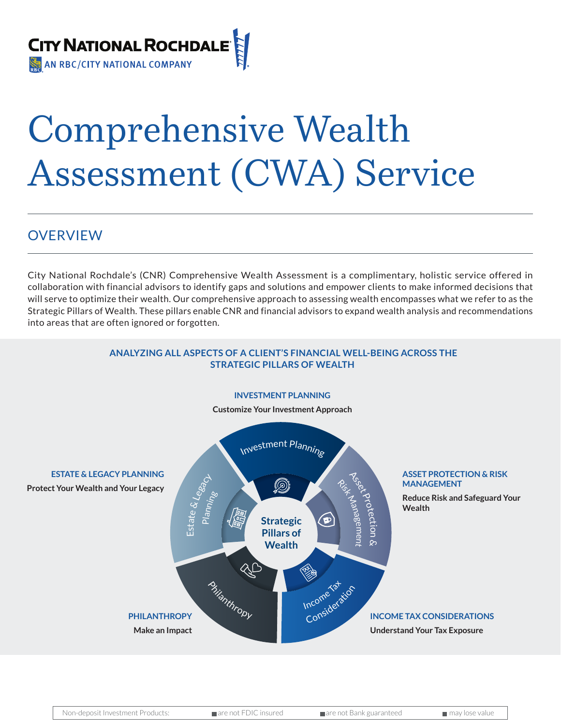

## Comprehensive Wealth Assessment (CWA) Service

## OVERVIEW

City National Rochdale's (CNR) Comprehensive Wealth Assessment is a complimentary, holistic service offered in collaboration with financial advisors to identify gaps and solutions and empower clients to make informed decisions that will serve to optimize their wealth. Our comprehensive approach to assessing wealth encompasses what we refer to as the Strategic Pillars of Wealth. These pillars enable CNR and financial advisors to expand wealth analysis and recommendations into areas that are often ignored or forgotten.